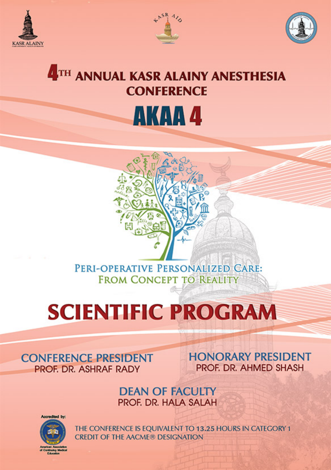





## **4TH ANNUAL KASR ALAINY ANESTHESIA CONFERENCE AKAA 4**

PERI-OPERATIVE PERSONALIZED CARE: **FROM CONCEPT TO REALITY** 

# **SCIENTIFIC PROGRAM**

#### **CONFERENCE PRESIDENT** PROF. DR. ASHRAF RADY

**HONORARY PRESIDENT** PROF. DR. AHMED SHASH

**DEAN OF FACULTY** PROF. DR. HALA SALAH



THE CONFERENCE IS EQUIVALENT TO 13.25 HOURS IN CATEGORY 1 **CREDIT OF THE AACME® DESIGNATION**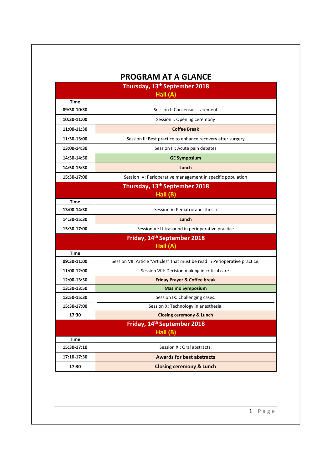|                            | <b>PROGRAM AT A GLANCE</b>                                                   |
|----------------------------|------------------------------------------------------------------------------|
|                            | Thursday, 13 <sup>th</sup> September 2018                                    |
|                            | Hall (A)                                                                     |
| <b>Time</b><br>09:30-10:30 | Session I: Consensus statement                                               |
| 10:30-11:00                |                                                                              |
|                            | Session I: Opening ceremony                                                  |
| 11:00-11:30                | <b>Coffee Break</b>                                                          |
| 11:30-13:00                | Session II: Best practice to enhance recovery after surgery                  |
| 13:00-14:30                | Session III: Acute pain debates                                              |
| 14:30-14:50                | <b>GE Symposium</b>                                                          |
| 14:50-15:30                | Lunch                                                                        |
| 15:30-17:00                | Session IV: Perioperative management in specific population                  |
|                            | Thursday, 13 <sup>th</sup> September 2018                                    |
|                            | Hall (B)                                                                     |
| <b>Time</b>                |                                                                              |
| 13:00-14:30                | Session V: Pediatric anesthesia                                              |
| 14:30-15:30                | Lunch                                                                        |
| 15:30-17:00                | Session VI: Ultrasound in perioperative practice                             |
|                            | Friday, 14 <sup>th</sup> September 2018<br>Hall (A)                          |
| <b>Time</b>                |                                                                              |
| 09:30-11:00                | Session VII: Article "Articles" that must be read in Perioperative practice. |
| 11:00-12:00                | Session VIII: Decision making in critical care.                              |
| 12:00-13:30                | <b>Friday Prayer &amp; Coffee break</b>                                      |
| 13:30-13:50                | <b>Masimo Symposium</b>                                                      |
| 13:50-15:30                | Session IX: Challenging cases.                                               |
| 15:30-17:00                | Session X: Technology in anesthesia.                                         |
| 17:30                      | <b>Closing ceremony &amp; Lunch</b>                                          |
|                            | Friday, 14th September 2018                                                  |
|                            | Hall (B)                                                                     |
| <b>Time</b>                |                                                                              |
| 15:30-17:10                | Session XI: Oral abstracts.                                                  |
| 17:10-17:30                | <b>Awards for best abstracts</b>                                             |
| 17:30                      | <b>Closing ceremony &amp; Lunch</b>                                          |

1 | Page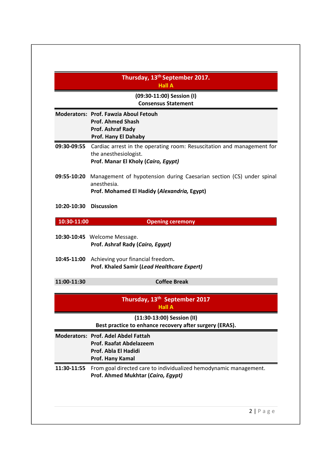|             | Thursday, 13th September 2017.<br><b>Hall A</b>                                                                                        |
|-------------|----------------------------------------------------------------------------------------------------------------------------------------|
|             | (09:30-11:00) Session (I)<br><b>Consensus Statement</b>                                                                                |
|             | Moderators: Prof. Fawzia Aboul Fetouh<br><b>Prof. Ahmed Shash</b><br>Prof. Ashraf Rady<br>Prof. Hany El Dahaby                         |
| 09:30-09:55 | Cardiac arrest in the operating room: Resuscitation and management for<br>the anesthesiologist.<br>Prof. Manar El Kholy (Cairo, Egypt) |
| 09:55-10:20 | Management of hypotension during Caesarian section (CS) under spinal<br>anesthesia.<br>Prof. Mohamed El Hadidy (Alexandria, Egypt)     |
| 10:20-10:30 | <b>Discussion</b>                                                                                                                      |
| 10:30-11:00 | <b>Opening ceremony</b>                                                                                                                |
|             | 10:30-10:45 Welcome Message.<br>Prof. Ashraf Rady (Cairo, Egypt)                                                                       |
|             | 10:45-11:00 Achieving your financial freedom.<br>Prof. Khaled Samir (Lead Healthcare Expert)                                           |
| 11:00-11:30 | <b>Coffee Break</b>                                                                                                                    |
|             | Thursday, 13 <sup>th</sup> September 2017<br><b>Hall A</b>                                                                             |
|             | (11:30-13:00) Session (II)<br>Best practice to enhance recovery after surgery (ERAS).                                                  |
|             | <b>Moderators: Prof. Adel Abdel Fattah</b><br><b>Prof. Raafat Abdelazeem</b><br>Prof. Abla El Hadidi<br>Prof. Hany Kamal               |
| 11:30-11:55 | From goal directed care to individualized hemodynamic management.<br>Prof. Ahmed Mukhtar (Cairo, Egypt)                                |
|             |                                                                                                                                        |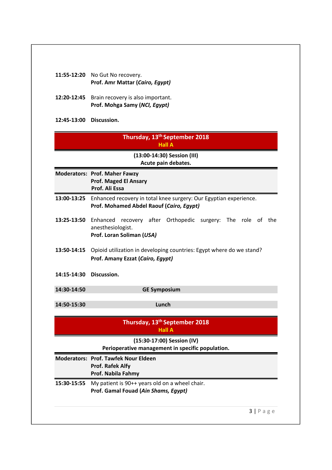|                         | 11:55-12:20 No Gut No recovery.<br>Prof. Amr Mattar (Cairo, Egypt)                                            |  |  |
|-------------------------|---------------------------------------------------------------------------------------------------------------|--|--|
|                         | 12:20-12:45 Brain recovery is also important.<br>Prof. Mohga Samy (NCI, Egypt)                                |  |  |
| 12:45-13:00 Discussion. |                                                                                                               |  |  |
|                         | Thursday, 13 <sup>th</sup> September 2018<br><b>Hall A</b>                                                    |  |  |
|                         | (13:00-14:30) Session (III)<br>Acute pain debates.                                                            |  |  |
|                         | <b>Moderators: Prof. Maher Fawzy</b><br><b>Prof. Maged El Ansary</b><br>Prof. Ali Essa                        |  |  |
| 13:00-13:25             | Enhanced recovery in total knee surgery: Our Egyptian experience.<br>Prof. Mohamed Abdel Raouf (Cairo, Egypt) |  |  |
| 13:25-13:50             | Enhanced recovery after Orthopedic surgery: The role of the<br>anesthesiologist.<br>Prof. Loran Soliman (USA) |  |  |
| 13:50-14:15             | Opioid utilization in developing countries: Egypt where do we stand?<br>Prof. Amany Ezzat (Cairo, Egypt)      |  |  |
| 14:15-14:30             | Discussion.                                                                                                   |  |  |
| 14:30-14:50             | <b>GE Symposium</b>                                                                                           |  |  |
| 14:50-15:30             | Lunch                                                                                                         |  |  |
|                         | Thursday, 13 <sup>th</sup> September 2018<br><b>Hall A</b>                                                    |  |  |
|                         | (15:30-17:00) Session (IV)<br>Perioperative management in specific population.                                |  |  |
|                         | <b>Moderators: Prof. Tawfek Nour Eldeen</b><br>Prof. Rafek Alfy<br>Prof. Nabila Fahmy                         |  |  |
| 15:30-15:55             | My patient is 90++ years old on a wheel chair.<br>Prof. Gamal Fouad (Ain Shams, Egypt)                        |  |  |
|                         | 3 Page                                                                                                        |  |  |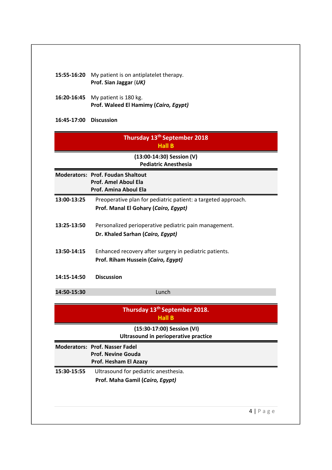| 15:55-16:20            | My patient is on antiplatelet therapy.                                                    |
|------------------------|-------------------------------------------------------------------------------------------|
|                        | Prof. Sian Jaggar (UK)                                                                    |
| 16:20-16:45            | My patient is 180 kg.                                                                     |
|                        | Prof. Waleed El Hamimy (Cairo, Egypt)                                                     |
| 16:45-17:00 Discussion |                                                                                           |
|                        | Thursday 13 <sup>th</sup> September 2018<br><b>Hall B</b>                                 |
|                        | (13:00-14:30) Session (V)                                                                 |
|                        | <b>Pediatric Anesthesia</b>                                                               |
|                        | <b>Moderators: Prof. Foudan Shaltout</b>                                                  |
|                        | <b>Prof. Amel Aboul Ela</b><br>Prof. Amina Aboul Ela                                      |
| 13:00-13:25            | Preoperative plan for pediatric patient: a targeted approach.                             |
|                        | Prof. Manal El Gohary (Cairo, Egypt)                                                      |
|                        |                                                                                           |
| 13:25-13:50            | Personalized perioperative pediatric pain management.<br>Dr. Khaled Sarhan (Cairo, Egypt) |
|                        |                                                                                           |
| 13:50-14:15            | Enhanced recovery after surgery in pediatric patients.                                    |
|                        | Prof. Riham Hussein (Cairo, Egypt)                                                        |
| 14:15-14:50            | <b>Discussion</b>                                                                         |
|                        |                                                                                           |
| 14:50-15:30            | Lunch                                                                                     |
|                        | Thursday 13 <sup>th</sup> September 2018.                                                 |
|                        | <b>Hall B</b>                                                                             |
|                        | (15:30-17:00) Session (VI)<br>Ultrasound in perioperative practice                        |
|                        | <b>Moderators: Prof. Nasser Fadel</b>                                                     |
|                        | <b>Prof. Nevine Gouda</b>                                                                 |
|                        | Prof. Hesham El Azazy                                                                     |
| 15:30-15:55            | Ultrasound for pediatric anesthesia.                                                      |
|                        | Prof. Maha Gamil (Cairo, Egypt)                                                           |
|                        |                                                                                           |
|                        |                                                                                           |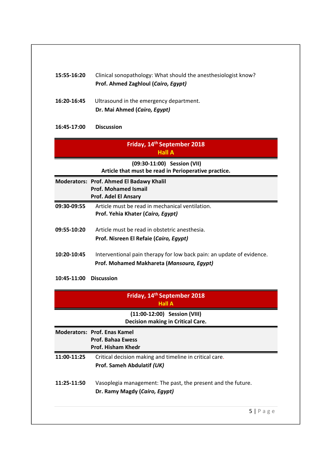| 15:55-16:20 | Clinical sonopathology: What should the anesthesiologist know?                               |
|-------------|----------------------------------------------------------------------------------------------|
|             | Prof. Ahmed Zaghloul (Cairo, Egypt)                                                          |
| 16:20-16:45 | Ultrasound in the emergency department.                                                      |
|             | Dr. Mai Ahmed (Cairo, Egypt)                                                                 |
| 16:45-17:00 | <b>Discussion</b>                                                                            |
|             | Friday, 14 <sup>th</sup> September 2018<br><b>Hall A</b>                                     |
|             | (09:30-11:00) Session (VII)<br>Article that must be read in Perioperative practice.          |
|             | Moderators: Prof. Ahmed El Badawy Khalil                                                     |
|             | <b>Prof. Mohamed Ismail</b><br>Prof. Adel El Ansary                                          |
| 09:30-09:55 | Article must be read in mechanical ventilation.                                              |
|             | Prof. Yehia Khater (Cairo, Egypt)                                                            |
| 09:55-10:20 | Article must be read in obstetric anesthesia.                                                |
|             | Prof. Nisreen El Refaie (Cairo, Egypt)                                                       |
| 10:20-10:45 | Interventional pain therapy for low back pain: an update of evidence.                        |
|             | Prof. Mohamed Makhareta (Mansoura, Egypt)                                                    |
| 10:45-11:00 | <b>Discussion</b>                                                                            |
|             | Friday, 14 <sup>th</sup> September 2018<br><b>Hall A</b>                                     |
|             | (11:00-12:00) Session (VIII)<br><b>Decision making in Critical Care.</b>                     |
|             | <b>Moderators: Prof. Enas Kamel</b><br><b>Prof. Bahaa Ewess</b><br><b>Prof. Hisham Khedr</b> |
| 11:00-11:25 | Critical decision making and timeline in critical care.                                      |
|             | Prof. Sameh Abdulatif (UK)                                                                   |
| 11:25-11:50 | Vasoplegia management: The past, the present and the future.                                 |
|             | Dr. Ramy Magdy (Cairo, Egypt)                                                                |
|             |                                                                                              |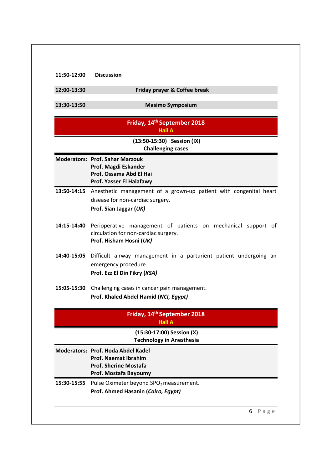| 11:50-12:00 | <b>Discussion</b> |
|-------------|-------------------|
|-------------|-------------------|

| 12:00-13:30 | <b>Friday prayer &amp; Coffee break</b> |
|-------------|-----------------------------------------|
|-------------|-----------------------------------------|

**13:30‐13:50 Masimo Symposium**

|             | Friday, 14 <sup>th</sup> September 2018<br><b>Hall A</b>                                                                         |
|-------------|----------------------------------------------------------------------------------------------------------------------------------|
|             | (13:50-15:30) Session (IX)<br><b>Challenging cases</b>                                                                           |
|             | <b>Moderators: Prof. Sahar Marzouk</b><br>Prof. Magdi Eskander<br>Prof. Ossama Abd El Hai<br>Prof. Yasser El Halafawy            |
| 13:50-14:15 | Anesthetic management of a grown-up patient with congenital heart<br>disease for non-cardiac surgery.<br>Prof. Sian Jaggar (UK)  |
| 14:15-14:40 | Perioperative management of patients on mechanical support of<br>circulation for non-cardiac surgery.<br>Prof. Hisham Hosni (UK) |
| 14:40-15:05 | Difficult airway management in a parturient patient undergoing an<br>emergency procedure.<br>Prof. Ezz El Din Fikry (KSA)        |
| 15:05-15:30 | Challenging cases in cancer pain management.<br>Prof. Khaled Abdel Hamid (NCI, Egypt)                                            |
|             | Friday, 14 <sup>th</sup> September 2018<br><b>Hall A</b>                                                                         |
|             | (15:30-17:00) Session (X)<br><b>Technology in Anesthesia</b>                                                                     |
|             | Moderators: Prof. Hoda Abdel Kadel<br>Prof. Naemat Ibrahim<br><b>Prof. Sherine Mostafa</b><br>Prof. Mostafa Bayoumy              |
| 15:30-15:55 | Pulse Oximeter beyond SPO <sub>2</sub> measurement.<br>Prof. Ahmed Hasanin (Cairo, Egypt)                                        |
|             | 6 Page                                                                                                                           |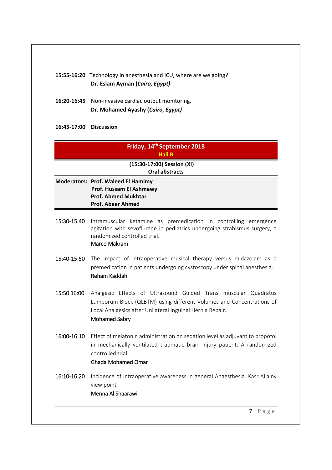#### **15:55‐16:20** Technology in anesthesia and ICU, where are we going? **Dr. Eslam Ayman (***Cairo, Egypt)*

- **16:20‐16:45** Non‐invasive cardiac output monitoring. **Dr. Mohamed Ayashy (***Cairo, Egypt)*
- **16:45‐17:00 Discussion**

### **Friday, 14th September 2018 Hall B**

 **(15:30‐17:00) Session (XI) Oral abstracts**

- **Moderators: Prof. Waleed El Hamimy Prof. Hussam El Ashmawy Prof. Ahmed Mukhtar Prof. Abeer Ahmed**
- 15:30‐15:40 Intramuscular ketamine as premedication in controlling emergence agitation with sevoflurane in pediatrics undergoing strabismus surgery, a randomized controlled trial.

#### Marco Makram

- 15:40-15:50 The impact of intraoperative musical therapy versus midazolam as a premedication in patients undergoing cystoscopy under spinal anesthesia. Reham Kaddah
- 15:50 16:00 Analgesic Effects of Ultrasound Guided Trans muscular Quadratus Lumborum Block (QLBTM) using different Volumes and Concentrations of Local Analgesics after Unilateral Inguinal Hernia Repair. Mohamed Sabry
- 16:00-16:10 Effect of melatonin administration on sedation level as adjuvant to propofol in mechanically ventilated traumatic brain injury patient: A randomized controlled trial.

#### Ghada Mohamed Omar

16:10-16:20 Incidence of intraoperative awareness in general Anaesthesia. Kasr ALainy view point Menna Al Shaarawi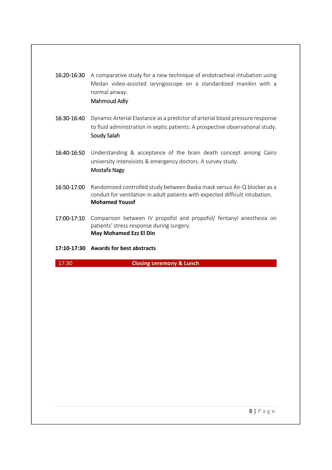16:20-16:30 A comparative study for a new technique of endotracheal intubation using Medan video‐assisted laryngoscope on a standardized manikin with a normal airway.

#### Mahmoud Adly

- 16:30-16:40 Dynamic Arterial Elastance as a predictor of arterial blood pressure response to fluid administration in septic patients: A prospective observational study. Soudy Salah
- 16:40-16:50 Understanding & acceptance of the brain death concept among Cairo university intensivists & emergency doctors. A survey study. Mostafa Nagy
- 16:50-17:00 Randomized controlled study between Baska mask versus Air-Q blocker as a conduit for ventilation in adult patients with expected difficult intubation. **Mohamed Youssf**
- 17:00-17:10 Comparison between IV propofol and propofol/ fentanyl anesthesia on patients' stress response during surgery. **May Mohamed Ezz El Din**
- **17:10‐17:30 Awards for best abstracts**

#### 17:30  **Closing ceremony & Lunch**